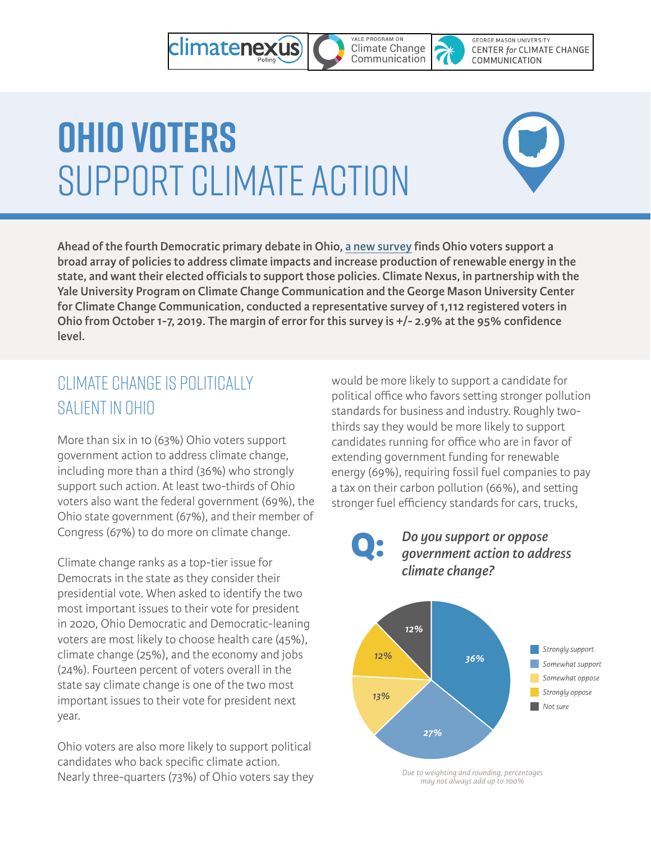#### YALE PROGRAM ON climatenexus **Climate Change**<br>Communication

**GEORGE MASON UNIVERSITY CENTER for CLIMATE CHANGE** COMMUNICATION

# **Ohio Voters**  Support Climate Action



**Ahead of the fourth Democratic primary debate in Ohio, [a new survey](https://climatenexus.org/wp-content/uploads/Ohio-Poll-Toplines-and-Crosstabs.pdf) finds Ohio voters support a broad array of policies to address climate impacts and increase production of renewable energy in the state, and want their elected officials to support those policies. Climate Nexus, in partnership with the Yale University Program on Climate Change Communication and the George Mason University Center for Climate Change Communication, conducted a representative survey of 1,112 registered voters in Ohio from October 1-7, 2019. The margin of error for this survey is +/- 2.9% at the 95% confidence level.**

# Climate Change is Politically Salient in Ohio

More than six in 10 (63%) Ohio voters support government action to address climate change, including more than a third (36%) who strongly support such action. At least two-thirds of Ohio voters also want the federal government (69%), the Ohio state government (67%), and their member of Congress (67%) to do more on climate change.

Climate change ranks as a top-tier issue for Democrats in the state as they consider their presidential vote. When asked to identify the two most important issues to their vote for president in 2020, Ohio Democratic and Democratic-leaning voters are most likely to choose health care (45%), climate change (25%), and the economy and jobs (24%). Fourteen percent of voters overall in the state say climate change is one of the two most important issues to their vote for president next year.

Ohio voters are also more likely to support political candidates who back specific climate action. Nearly three-quarters (73%) of Ohio voters say they would be more likely to support a candidate for political office who favors setting stronger pollution standards for business and industry. Roughly twothirds say they would be more likely to support candidates running for office who are in favor of extending government funding for renewable energy (69%), requiring fossil fuel companies to pay a tax on their carbon pollution (66%), and setting stronger fuel efficiency standards for cars, trucks,





*Due to weighting and rounding, percentages may not always add up to 100%*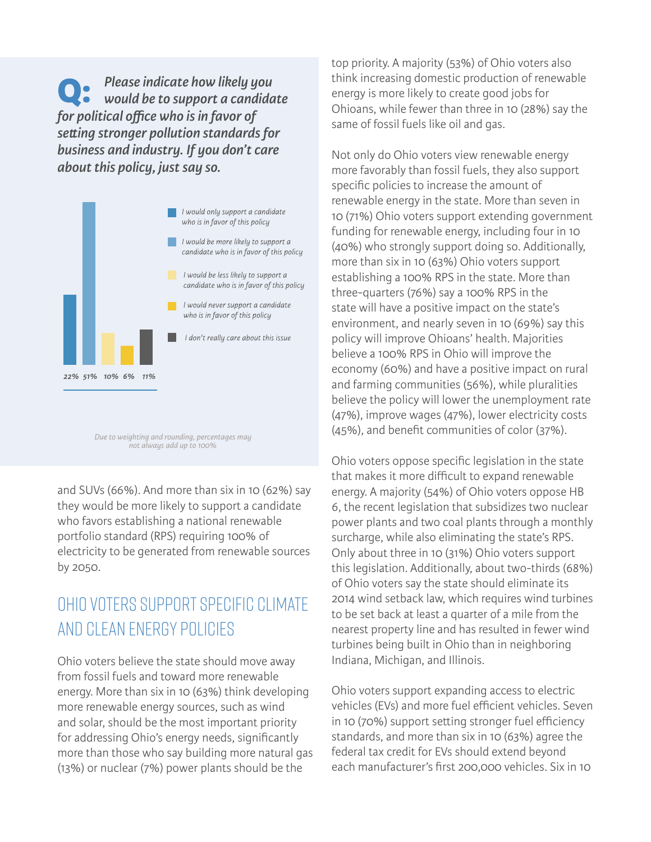*Please indicate how likely you would be to support a candidate for political office who is in favor of setting stronger pollution standards for business and industry. If you don't care about this policy, just say so.* **Q:**



*Due to weighting and rounding, percentages may not always add up to 100%*

and SUVs (66%). And more than six in 10 (62%) say they would be more likely to support a candidate who favors establishing a national renewable portfolio standard (RPS) requiring 100% of electricity to be generated from renewable sources by 2050.

### Ohio Voters Support Specific Climate and Clean Energy Policies

Ohio voters believe the state should move away from fossil fuels and toward more renewable energy. More than six in 10 (63%) think developing more renewable energy sources, such as wind and solar, should be the most important priority for addressing Ohio's energy needs, significantly more than those who say building more natural gas (13%) or nuclear (7%) power plants should be the

top priority. A majority (53%) of Ohio voters also think increasing domestic production of renewable energy is more likely to create good jobs for Ohioans, while fewer than three in 10 (28%) say the same of fossil fuels like oil and gas.

Not only do Ohio voters view renewable energy more favorably than fossil fuels, they also support specific policies to increase the amount of renewable energy in the state. More than seven in 10 (71%) Ohio voters support extending government funding for renewable energy, including four in 10 (40%) who strongly support doing so. Additionally, more than six in 10 (63%) Ohio voters support establishing a 100% RPS in the state. More than three-quarters (76%) say a 100% RPS in the state will have a positive impact on the state's environment, and nearly seven in 10 (69%) say this policy will improve Ohioans' health. Majorities believe a 100% RPS in Ohio will improve the economy (60%) and have a positive impact on rural and farming communities (56%), while pluralities believe the policy will lower the unemployment rate (47%), improve wages (47%), lower electricity costs (45%), and benefit communities of color (37%).

Ohio voters oppose specific legislation in the state that makes it more difficult to expand renewable energy. A majority (54%) of Ohio voters oppose HB 6, the recent legislation that subsidizes two nuclear power plants and two coal plants through a monthly surcharge, while also eliminating the state's RPS. Only about three in 10 (31%) Ohio voters support this legislation. Additionally, about two-thirds (68%) of Ohio voters say the state should eliminate its 2014 wind setback law, which requires wind turbines to be set back at least a quarter of a mile from the nearest property line and has resulted in fewer wind turbines being built in Ohio than in neighboring Indiana, Michigan, and Illinois.

Ohio voters support expanding access to electric vehicles (EVs) and more fuel efficient vehicles. Seven in 10 (70%) support setting stronger fuel efficiency standards, and more than six in 10 (63%) agree the federal tax credit for EVs should extend beyond each manufacturer's first 200,000 vehicles. Six in 10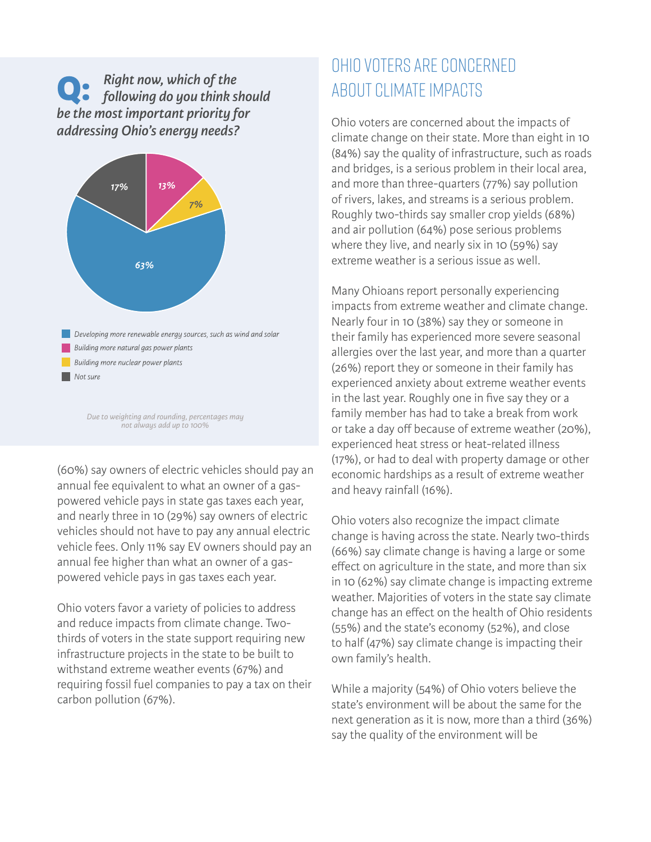### **Q:** *Right now, which of the following do you think should be the most important priority for addressing Ohio's energy needs?*



*Due to weighting and rounding, percentages may not always add up to 100%*

(60%) say owners of electric vehicles should pay an annual fee equivalent to what an owner of a gaspowered vehicle pays in state gas taxes each year, and nearly three in 10 (29%) say owners of electric vehicles should not have to pay any annual electric vehicle fees. Only 11% say EV owners should pay an annual fee higher than what an owner of a gaspowered vehicle pays in gas taxes each year.

Ohio voters favor a variety of policies to address and reduce impacts from climate change. Twothirds of voters in the state support requiring new infrastructure projects in the state to be built to withstand extreme weather events (67%) and requiring fossil fuel companies to pay a tax on their carbon pollution (67%).

# Ohio Voters Are Concerned About Climate Impacts

Ohio voters are concerned about the impacts of climate change on their state. More than eight in 10 (84%) say the quality of infrastructure, such as roads and bridges, is a serious problem in their local area, and more than three-quarters (77%) say pollution of rivers, lakes, and streams is a serious problem. Roughly two-thirds say smaller crop yields (68%) and air pollution (64%) pose serious problems where they live, and nearly six in 10 (59%) say extreme weather is a serious issue as well.

Many Ohioans report personally experiencing impacts from extreme weather and climate change. Nearly four in 10 (38%) say they or someone in their family has experienced more severe seasonal allergies over the last year, and more than a quarter (26%) report they or someone in their family has experienced anxiety about extreme weather events in the last year. Roughly one in five say they or a family member has had to take a break from work or take a day off because of extreme weather (20%), experienced heat stress or heat-related illness (17%), or had to deal with property damage or other economic hardships as a result of extreme weather and heavy rainfall (16%).

Ohio voters also recognize the impact climate change is having across the state. Nearly two-thirds (66%) say climate change is having a large or some effect on agriculture in the state, and more than six in 10 (62%) say climate change is impacting extreme weather. Majorities of voters in the state say climate change has an effect on the health of Ohio residents (55%) and the state's economy (52%), and close to half (47%) say climate change is impacting their own family's health.

While a majority (54%) of Ohio voters believe the state's environment will be about the same for the next generation as it is now, more than a third (36%) say the quality of the environment will be